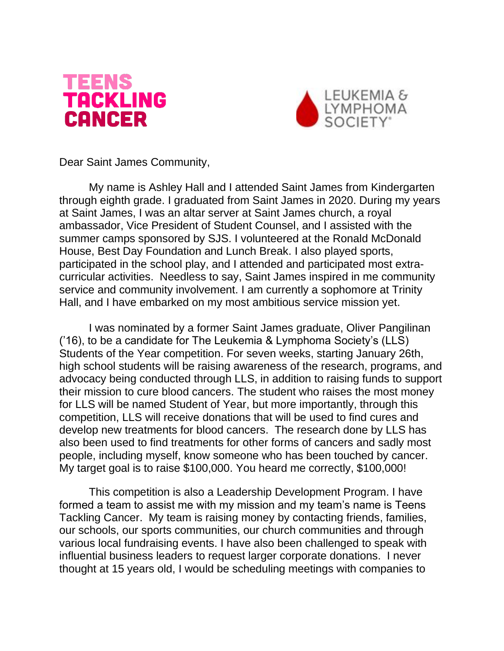



Dear Saint James Community,

My name is Ashley Hall and I attended Saint James from Kindergarten through eighth grade. I graduated from Saint James in 2020. During my years at Saint James, I was an altar server at Saint James church, a royal ambassador, Vice President of Student Counsel, and I assisted with the summer camps sponsored by SJS. I volunteered at the Ronald McDonald House, Best Day Foundation and Lunch Break. I also played sports, participated in the school play, and I attended and participated most extracurricular activities. Needless to say, Saint James inspired in me community service and community involvement. I am currently a sophomore at Trinity Hall, and I have embarked on my most ambitious service mission yet.

I was nominated by a former Saint James graduate, Oliver Pangilinan ('16), to be a candidate for The Leukemia & Lymphoma Society's (LLS) Students of the Year competition. For seven weeks, starting January 26th, high school students will be raising awareness of the research, programs, and advocacy being conducted through LLS, in addition to raising funds to support their mission to cure blood cancers. The student who raises the most money for LLS will be named Student of Year, but more importantly, through this competition, LLS will receive donations that will be used to find cures and develop new treatments for blood cancers. The research done by LLS has also been used to find treatments for other forms of cancers and sadly most people, including myself, know someone who has been touched by cancer. My target goal is to raise \$100,000. You heard me correctly, \$100,000!

This competition is also a Leadership Development Program. I have formed a team to assist me with my mission and my team's name is Teens Tackling Cancer. My team is raising money by contacting friends, families, our schools, our sports communities, our church communities and through various local fundraising events. I have also been challenged to speak with influential business leaders to request larger corporate donations. I never thought at 15 years old, I would be scheduling meetings with companies to